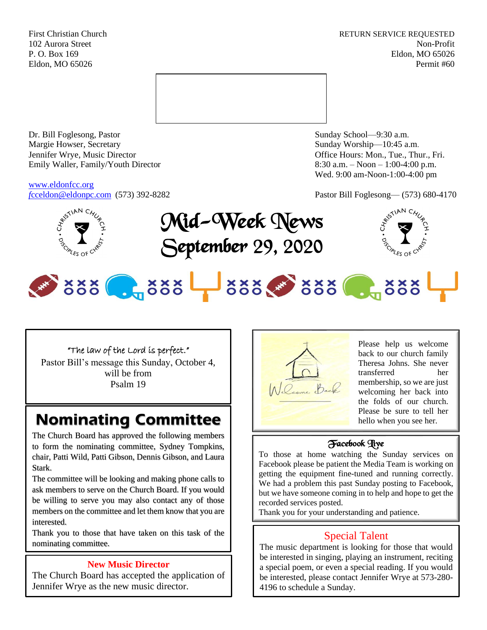First Christian Church **RETURN SERVICE REQUESTED** 102 Aurora Street Non-Profit P. O. Box 169 Eldon, MO 65026 Eldon, MO 65026 Permit #60



Dr. Bill Foglesong, Pastor Sunday School—9:30 a.m. Margie Howser, Secretary Sunday Worship—10:45 a.m. Jennifer Wrye, Music Director Office Hours: Mon., Tue., Thur., Fri. Emily Waller, Family/Youth Director 8:30 a.m. – Noon – 1:00-4:00 p.m.

[www.eldonfcc.org](http://www.eldonfcc.org/)

Wed. 9:00 am-Noon-1:00-4:00 pm



*f[cceldon@eldonpc.com](mailto:fcceldon@eldonpc.com)* (573) 392-8282 Pastor Bill Foglesong— (573) 680-4170<br>  $\oint_{C} x^{\xi^{s}}$ <sup>NAN C<sub>*H*U<sub>2</sub></sup></sub> Mid-Week News September 29, 2020



# 888 . 888 388 388 . 888

## "The law of the Lord is perfect."

Pastor Bill's message this Sunday, October 4, will be from Psalm 19

# **Nominating Committee**

The Church Board has approved the following members to form the nominating committee, Sydney Tompkins, chair, Patti Wild, Patti Gibson, Dennis Gibson, and Laura Stark.

The committee will be looking and making phone calls to ask members to serve on the Church Board. If you would be willing to serve you may also contact any of those members on the committee and let them know that you are interested.

Thank you to those that have taken on this task of the nominating committee.

## **New Music Director**

The Church Board has accepted the application of Jennifer Wrye as the new music director.



Please help us welcome back to our church family Theresa Johns. She never transferred her membership, so we are just welcoming her back into the folds of our church. Please be sure to tell her hello when you see her.

## Facebook Live

To those at home watching the Sunday services on Facebook please be patient the Media Team is working on getting the equipment fine-tuned and running correctly. We had a problem this past Sunday posting to Facebook, but we have someone coming in to help and hope to get the recorded services posted.

Thank you for your understanding and patience.

# Special Talent

The music department is looking for those that would be interested in singing, playing an instrument, reciting a special poem, or even a special reading. If you would be interested, please contact Jennifer Wrye at 573-280- 4196 to schedule a Sunday.